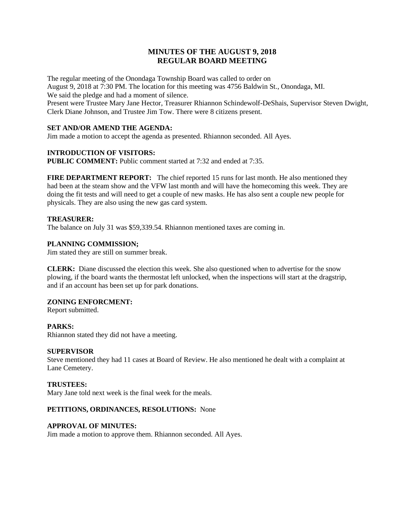# **MINUTES OF THE AUGUST 9, 2018 REGULAR BOARD MEETING**

The regular meeting of the Onondaga Township Board was called to order on August 9, 2018 at 7:30 PM. The location for this meeting was 4756 Baldwin St., Onondaga, MI. We said the pledge and had a moment of silence. Present were Trustee Mary Jane Hector, Treasurer Rhiannon Schindewolf-DeShais, Supervisor Steven Dwight,

# **SET AND/OR AMEND THE AGENDA:**

Jim made a motion to accept the agenda as presented. Rhiannon seconded. All Ayes.

Clerk Diane Johnson, and Trustee Jim Tow. There were 8 citizens present.

# **INTRODUCTION OF VISITORS:**

**PUBLIC COMMENT:** Public comment started at 7:32 and ended at 7:35.

**FIRE DEPARTMENT REPORT:** The chief reported 15 runs for last month. He also mentioned they had been at the steam show and the VFW last month and will have the homecoming this week. They are doing the fit tests and will need to get a couple of new masks. He has also sent a couple new people for physicals. They are also using the new gas card system.

# **TREASURER:**

The balance on July 31 was \$59,339.54. Rhiannon mentioned taxes are coming in.

# **PLANNING COMMISSION;**

Jim stated they are still on summer break.

**CLERK:** Diane discussed the election this week. She also questioned when to advertise for the snow plowing, if the board wants the thermostat left unlocked, when the inspections will start at the dragstrip, and if an account has been set up for park donations.

# **ZONING ENFORCMENT:**

Report submitted.

#### **PARKS:**

Rhiannon stated they did not have a meeting.

#### **SUPERVISOR**

Steve mentioned they had 11 cases at Board of Review. He also mentioned he dealt with a complaint at Lane Cemetery.

# **TRUSTEES:**

Mary Jane told next week is the final week for the meals.

#### **PETITIONS, ORDINANCES, RESOLUTIONS:** None

# **APPROVAL OF MINUTES:**

Jim made a motion to approve them. Rhiannon seconded. All Ayes.